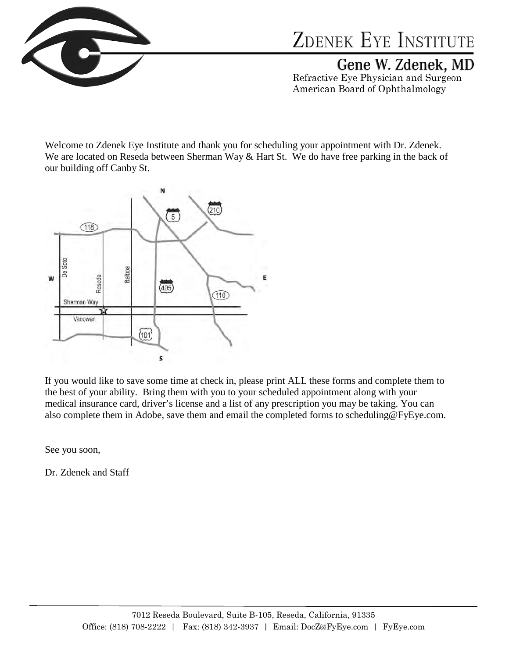

Gene W. Zdenek, MD

Refractive Eye Physician and Surgeon American Board of Ophthalmology

Welcome to Zdenek Eye Institute and thank you for scheduling your appointment with Dr. Zdenek. We are located on Reseda between Sherman Way & Hart St. We do have free parking in the back of our building off Canby St.



If you would like to save some time at check in, please print ALL these forms and complete them to the best of your ability. Bring them with you to your scheduled appointment along with your medical insurance card, driver's license and a list of any prescription you may be taking. You can also complete them in Adobe, save them and email the completed forms to scheduling@FyEye.com.

See you soon,

Dr. Zdenek and Staff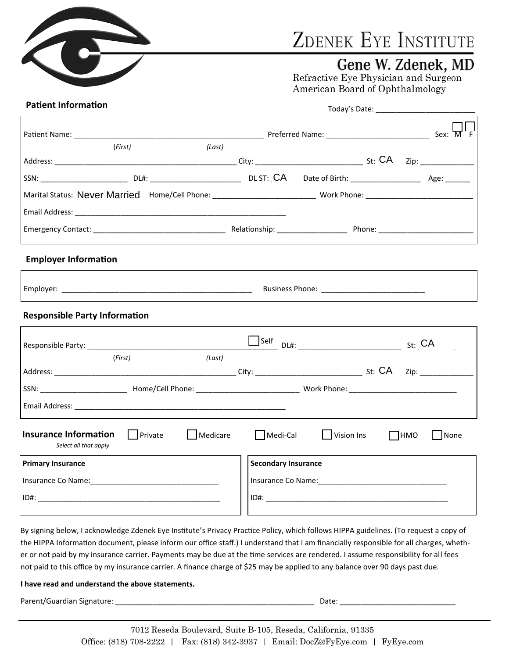

## Gene W. Zdenek, MD

Refractive Eye Physician and Surgeon American Board of Ophthalmology

#### **Patient Information**

Today's Date: \_\_\_\_\_\_\_\_\_\_\_\_\_\_\_\_\_\_\_\_\_\_\_\_

|                                                            | (First)            | (Last)   |                            |            |                    |
|------------------------------------------------------------|--------------------|----------|----------------------------|------------|--------------------|
|                                                            |                    |          |                            |            |                    |
| SSN: Age: DL#: DL#: DL#: DLST: CA Date of Birth: Age: Age: |                    |          |                            |            |                    |
|                                                            |                    |          |                            |            |                    |
|                                                            |                    |          |                            |            |                    |
|                                                            |                    |          |                            |            |                    |
| <b>Employer Information</b>                                |                    |          |                            |            |                    |
|                                                            |                    |          |                            |            |                    |
| <b>Responsible Party Information</b>                       |                    |          |                            |            |                    |
|                                                            |                    |          |                            |            |                    |
|                                                            | (First)            | (Last)   |                            |            |                    |
|                                                            |                    |          |                            |            |                    |
|                                                            |                    |          |                            |            |                    |
|                                                            |                    |          |                            |            |                    |
| <b>Insurance Information</b><br>Select all that apply      | $\lceil$   Private | Medicare | $\Box$ Medi-Cal            | Vision Ins | $\Box$ HMO<br>None |
| <b>Primary Insurance</b>                                   |                    |          | <b>Secondary Insurance</b> |            |                    |
|                                                            |                    |          |                            |            |                    |
|                                                            |                    |          |                            |            |                    |

By signing below, I acknowledge Zdenek Eye Institute's Privacy Practice Policy, which follows HIPPA guidelines. (To request a copy of the HIPPA Information document, please inform our office staff.) I understand that I am financially responsible for all charges, whether or not paid by my insurance carrier. Payments may be due at the time services are rendered. I assume responsibility for all fees not paid to this office by my insurance carrier. A finance charge of \$25 may be applied to any balance over 90 days past due.

#### **I have read and understand the above statements.**

Parent/Guardian Signature: \_\_\_\_\_\_\_\_\_\_\_\_\_\_\_\_\_\_\_\_\_\_\_\_\_\_\_\_\_\_\_\_\_\_\_\_\_\_\_\_\_\_\_\_\_\_\_\_ Date: \_\_\_\_\_\_\_\_\_\_\_\_\_\_\_\_\_\_\_\_\_\_\_\_\_\_\_\_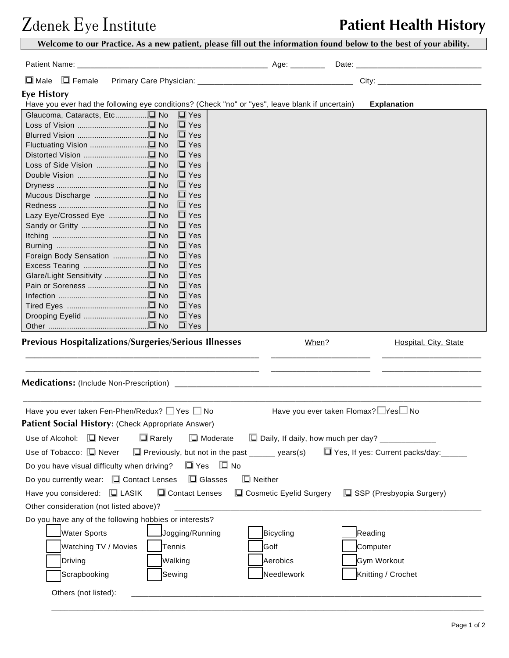## Zdenek Eye Institute **Patient Health History**

| $\square$ Female<br>$\Box$ Male             |                                                                                                 |                                                                                               |                                    |                                                     |
|---------------------------------------------|-------------------------------------------------------------------------------------------------|-----------------------------------------------------------------------------------------------|------------------------------------|-----------------------------------------------------|
| <b>Eye History</b>                          |                                                                                                 |                                                                                               |                                    |                                                     |
|                                             | Have you ever had the following eye conditions? (Check "no" or "yes", leave blank if uncertain) |                                                                                               |                                    | <b>Explanation</b>                                  |
| Glaucoma, Cataracts, Etc□ No                | $\Box$ Yes<br>$\Box$ Yes                                                                        |                                                                                               |                                    |                                                     |
|                                             | $\Box$ Yes                                                                                      |                                                                                               |                                    |                                                     |
|                                             | $\Box$ Yes                                                                                      |                                                                                               |                                    |                                                     |
|                                             | $\Box$ Yes                                                                                      |                                                                                               |                                    |                                                     |
|                                             | $\Box$ Yes                                                                                      |                                                                                               |                                    |                                                     |
|                                             | $\Box$ Yes                                                                                      |                                                                                               |                                    |                                                     |
|                                             | $\Box$ Yes                                                                                      |                                                                                               |                                    |                                                     |
|                                             | $\Box$ Yes<br>$\Box$ Yes                                                                        |                                                                                               |                                    |                                                     |
|                                             | $\Box$ Yes                                                                                      |                                                                                               |                                    |                                                     |
|                                             | $\Box$ Yes                                                                                      |                                                                                               |                                    |                                                     |
|                                             | $\Box$ Yes                                                                                      |                                                                                               |                                    |                                                     |
|                                             | $\Box$ Yes                                                                                      |                                                                                               |                                    |                                                     |
|                                             | $\Box$ Yes                                                                                      |                                                                                               |                                    |                                                     |
| Excess Tearing □ No                         | $\Box$ Yes                                                                                      |                                                                                               |                                    |                                                     |
|                                             | $\Box$ Yes<br>$\Box$ Yes                                                                        |                                                                                               |                                    |                                                     |
|                                             | $\Box$ Yes                                                                                      |                                                                                               |                                    |                                                     |
|                                             | $\Box$ Yes                                                                                      |                                                                                               |                                    |                                                     |
|                                             | $\Box$ Yes                                                                                      |                                                                                               |                                    |                                                     |
|                                             | $\Box$ Yes                                                                                      |                                                                                               |                                    |                                                     |
|                                             | <b>Previous Hospitalizations/Surgeries/Serious Illnesses</b>                                    |                                                                                               |                                    | Hospital, City, State                               |
|                                             | Have you ever taken Fen-Phen/Redux? $\Box$ Yes $\Box$ No                                        |                                                                                               | Have you ever taken Flomax? Yes No |                                                     |
|                                             | Patient Social History: (Check Appropriate Answer)                                              |                                                                                               |                                    |                                                     |
| Use of Alcohol: $\Box$ Never                | $\Box$ Rarely                                                                                   | $\Box$ Moderate                                                                               |                                    | □ Daily, If daily, how much per day? ______________ |
| Use of Tobacco: [ U Never                   |                                                                                                 | $\Box$ Previously, but not in the past ______ years(s) $\Box$ Yes, If yes: Current packs/day: |                                    |                                                     |
| Do you have visual difficulty when driving? | □ Yes □ No                                                                                      |                                                                                               |                                    |                                                     |
|                                             | Do you currently wear: $\Box$ Contact Lenses $\Box$ Glasses                                     | $\Box$ Neither                                                                                |                                    |                                                     |
| Have you considered: $\Box$ LASIK           | Contact Lenses                                                                                  | □ Cosmetic Eyelid Surgery                                                                     |                                    | $\Box$ SSP (Presbyopia Surgery)                     |
| Other consideration (not listed above)?     |                                                                                                 |                                                                                               |                                    |                                                     |
|                                             | Do you have any of the following hobbies or interests?                                          |                                                                                               |                                    |                                                     |
| Water Sports                                | Jogging/Running                                                                                 | Bicycling                                                                                     | Reading                            |                                                     |
|                                             |                                                                                                 |                                                                                               |                                    |                                                     |
| Watching TV / Movies                        | Tennis                                                                                          | Golf                                                                                          |                                    | Computer                                            |
| Driving                                     | Walking                                                                                         | Aerobics                                                                                      |                                    | Gym Workout                                         |
| Scrapbooking                                | Sewing                                                                                          | Needlework                                                                                    |                                    | Knitting / Crochet                                  |
|                                             |                                                                                                 |                                                                                               |                                    |                                                     |

 $\overline{\phantom{a}}$  , and the set of the set of the set of the set of the set of the set of the set of the set of the set of the set of the set of the set of the set of the set of the set of the set of the set of the set of the s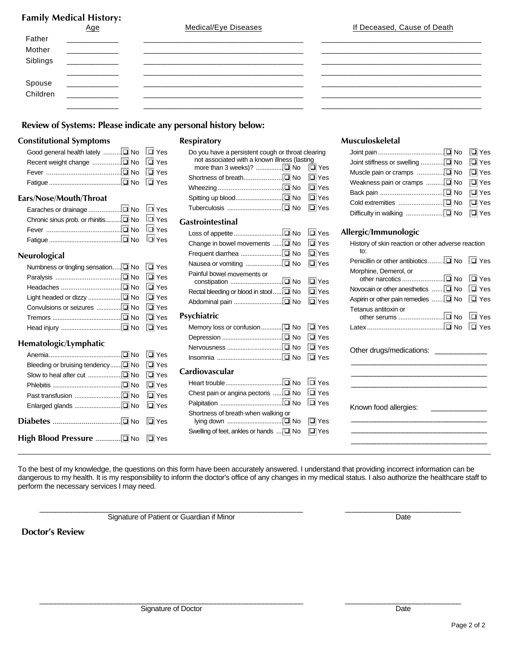## **Family Medical History:**

| Father             |                                 |                |     |
|--------------------|---------------------------------|----------------|-----|
| Mother             |                                 |                |     |
| Siblings           |                                 |                |     |
| Spouse<br>Children | ___________                     |                |     |
|                    | _____________<br>______________ | ______________ | ___ |

#### **Review of Systems: Please indicate any personal history below:**

#### **Constitutional Symptoms**

#### **Ears/Nose/Mouth/Throat**

| Fever $\ldots$ $\Box$ Yes |  |
|---------------------------|--|
|                           |  |

#### **Neurological**

| Numbness or tingling sensation $\boxed{\square}$ No $\boxed{\square}$ Yes |  |
|---------------------------------------------------------------------------|--|
|                                                                           |  |
|                                                                           |  |
|                                                                           |  |
|                                                                           |  |
|                                                                           |  |
|                                                                           |  |

#### **Hematologic/Lymphatic**

#### **Respiratory**

| Do you have a persistent cough or throat clearing |  |  |
|---------------------------------------------------|--|--|
| not associated with a known illness (lasting      |  |  |
|                                                   |  |  |
|                                                   |  |  |
|                                                   |  |  |
|                                                   |  |  |
|                                                   |  |  |

#### **Gastrointestinal**

| Change in bowel movements  INo IVes |  |
|-------------------------------------|--|
|                                     |  |
|                                     |  |
| Painful bowel movements or          |  |
|                                     |  |
|                                     |  |

#### **Psychiatric**

#### **Cardiovascular**

| Chest pain or angina pectoris $\Box \Box$ No $\Box$ Yes                                   |  |
|-------------------------------------------------------------------------------------------|--|
|                                                                                           |  |
| Shortness of breath when walking or<br>Swelling of feet, ankles or hands  [ No $\Box$ Yes |  |

#### **Musculoskeletal**

| Weakness pain or cramps $\ldots \ldots \square$ No $\square$ Yes |  |
|------------------------------------------------------------------|--|
|                                                                  |  |
|                                                                  |  |
|                                                                  |  |

#### **Allergic/Immunologic**

| èS.<br>,s | History of skin reaction or other adverse reaction<br>to: |  |  |  |
|-----------|-----------------------------------------------------------|--|--|--|
| è.        |                                                           |  |  |  |
| èS.       | Morphine, Demerol, or<br>∏ Yes                            |  |  |  |
| èS.       | Novocain or other anesthetics  I No I Yes                 |  |  |  |
| èS.       | Aspirin or other pain remedies  I No I Yes                |  |  |  |
|           | Tetanus antitoxin or                                      |  |  |  |
| ,s        |                                                           |  |  |  |
| ,s        |                                                           |  |  |  |
| ,s<br>,s  | Other drugs/medications:                                  |  |  |  |
|           |                                                           |  |  |  |
| ,s        |                                                           |  |  |  |
| ,s        |                                                           |  |  |  |
| ,s        | Known food allergies:                                     |  |  |  |
| ,s        |                                                           |  |  |  |
| èS.       |                                                           |  |  |  |
|           |                                                           |  |  |  |
|           |                                                           |  |  |  |

To the best of my knowledge, the questions on this form have been accurately answered. I understand that providing incorrect information can be dangerous to my health. It is my responsibility to inform the doctor's office of any changes in my medical status. I also authorize the healthcare staff to perform the necessary services I may need.

 $\mathcal{L}_\text{max} = \frac{1}{2} \sum_{i=1}^{n} \frac{1}{2} \sum_{i=1}^{n} \frac{1}{2} \sum_{i=1}^{n} \frac{1}{2} \sum_{i=1}^{n} \frac{1}{2} \sum_{i=1}^{n} \frac{1}{2} \sum_{i=1}^{n} \frac{1}{2} \sum_{i=1}^{n} \frac{1}{2} \sum_{i=1}^{n} \frac{1}{2} \sum_{i=1}^{n} \frac{1}{2} \sum_{i=1}^{n} \frac{1}{2} \sum_{i=1}^{n} \frac{1}{2} \sum_{i=1}^{n} \frac{1$ 

 $\mathcal{L}_\text{max} = \frac{1}{2} \sum_{i=1}^{n} \frac{1}{2} \sum_{i=1}^{n} \frac{1}{2} \sum_{i=1}^{n} \frac{1}{2} \sum_{i=1}^{n} \frac{1}{2} \sum_{i=1}^{n} \frac{1}{2} \sum_{i=1}^{n} \frac{1}{2} \sum_{i=1}^{n} \frac{1}{2} \sum_{i=1}^{n} \frac{1}{2} \sum_{i=1}^{n} \frac{1}{2} \sum_{i=1}^{n} \frac{1}{2} \sum_{i=1}^{n} \frac{1}{2} \sum_{i=1}^{n} \frac{1$ 

Signature of Patient or Guardian if Minor Date

**Doctor's Review**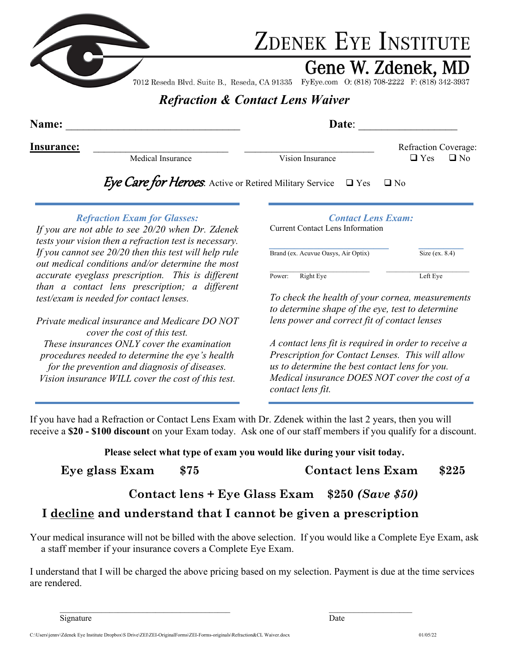

Gene W. Zdenek, MD

7012 Reseda Blvd. Suite B., Reseda, CA 91335 FyEye.com O: (818) 708-2222 F: (818) 342-3937

## *Refraction & Contact Lens Waiver*

| Name:      |                   | Date:                                                                |                                                     |
|------------|-------------------|----------------------------------------------------------------------|-----------------------------------------------------|
| Insurance: | Medical Insurance | Vision Insurance                                                     | <b>Refraction Coverage:</b><br>$\Box$ Yes $\Box$ No |
|            |                   | Free Care for Hernes Active or Betind Military Service D. Vec D. No. |                                                     |

### **Eye Care for Heroes**: Active or Retired Military Service  $\Box$  Yes  $\Box$  No

#### *Refraction Exam for Glasses:*

*If you are not able to see 20/20 when Dr. Zdenek tests your vision then a refraction test is necessary. If you cannot see 20/20 then this test will help rule out medical conditions and/or determine the most accurate eyeglass prescription. This is different than a contact lens prescription; a different test/exam is needed for contact lenses.* 

*Private medical insurance and Medicare DO NOT cover the cost of this test. These insurances ONLY cover the examination procedures needed to determine the eye's health for the prevention and diagnosis of diseases. Vision insurance WILL cover the cost of this test.* 

### *Contact Lens Exam:*

Current Contact Lens Information

*\_\_\_\_\_\_\_\_\_\_\_\_\_\_\_\_\_\_\_\_\_\_\_\_ \_\_\_\_\_\_\_\_\_*  Brand (ex. Acuvue Oasys, Air Optix) Size (ex. 8.4)  $\mathcal{L}_\text{max} = \mathcal{L}_\text{max} = \mathcal{L}_\text{max} = \mathcal{L}_\text{max} = \mathcal{L}_\text{max} = \mathcal{L}_\text{max} = \mathcal{L}_\text{max} = \mathcal{L}_\text{max} = \mathcal{L}_\text{max} = \mathcal{L}_\text{max} = \mathcal{L}_\text{max} = \mathcal{L}_\text{max} = \mathcal{L}_\text{max} = \mathcal{L}_\text{max} = \mathcal{L}_\text{max} = \mathcal{L}_\text{max} = \mathcal{L}_\text{max} = \mathcal{L}_\text{max} = \mathcal{$ Power: Right Eye Left Eye

*To check the health of your cornea, measurements to determine shape of the eye, test to determine lens power and correct fit of contact lenses* 

*A contact lens fit is required in order to receive a Prescription for Contact Lenses. This will allow us to determine the best contact lens for you. Medical insurance DOES NOT cover the cost of a contact lens fit.* 

If you have had a Refraction or Contact Lens Exam with Dr. Zdenek within the last 2 years, then you will receive a **\$20 - \$100 discount** on your Exam today. Ask one of our staff members if you qualify for a discount.

**Please select what type of exam you would like during your visit today.** 

| Eye glass Exam | \$75 | <b>Contact lens Exam</b> | \$225 |
|----------------|------|--------------------------|-------|
|----------------|------|--------------------------|-------|

### **Contact lens + Eye Glass Exam \$250** *(Save \$50)*

### **I decline and understand that I cannot be given a prescription**

Your medical insurance will not be billed with the above selection. If you would like a Complete Eye Exam, ask a staff member if your insurance covers a Complete Eye Exam.

I understand that I will be charged the above pricing based on my selection. Payment is due at the time services are rendered.

 $\mathcal{L}_\text{max}$  , and the contribution of the contribution of the contribution of the contribution of the contribution of the contribution of the contribution of the contribution of the contribution of the contribution of t

Signature Date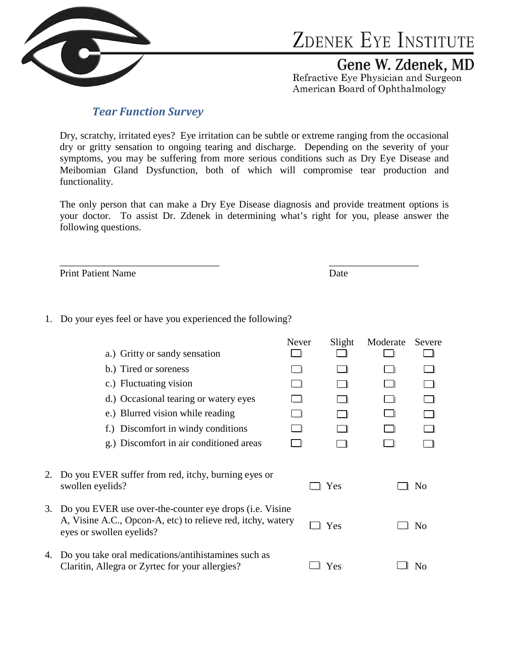

Gene W. Zdenek, MD

Refractive Eye Physician and Surgeon American Board of Ophthalmology

### *Tear Function Survey*

Dry, scratchy, irritated eyes? Eye irritation can be subtle or extreme ranging from the occasional dry or gritty sensation to ongoing tearing and discharge. Depending on the severity of your symptoms, you may be suffering from more serious conditions such as Dry Eye Disease and Meibomian Gland Dysfunction, both of which will compromise tear production and functionality.

The only person that can make a Dry Eye Disease diagnosis and provide treatment options is your doctor. To assist Dr. Zdenek in determining what's right for you, please answer the following questions.

Print Patient Name Date

1. Do your eyes feel or have you experienced the following?

|    |                                                                                                                                                    | Never | Slight | Moderate | Severe         |
|----|----------------------------------------------------------------------------------------------------------------------------------------------------|-------|--------|----------|----------------|
|    | a.) Gritty or sandy sensation                                                                                                                      |       |        |          |                |
|    | b.) Tired or soreness                                                                                                                              |       |        |          |                |
|    | c.) Fluctuating vision                                                                                                                             |       |        |          |                |
|    | d.) Occasional tearing or watery eyes                                                                                                              |       |        |          |                |
|    | e.) Blurred vision while reading                                                                                                                   |       |        |          |                |
|    | f.) Discomfort in windy conditions                                                                                                                 |       |        |          |                |
|    | g.) Discomfort in air conditioned areas                                                                                                            |       |        |          |                |
| 2. | Do you EVER suffer from red, itchy, burning eyes or<br>swollen eyelids?                                                                            |       | Yes    |          | N <sub>0</sub> |
| 3. | Do you EVER use over-the-counter eye drops (i.e. Visine<br>A, Visine A.C., Opcon-A, etc) to relieve red, itchy, watery<br>eyes or swollen eyelids? |       | Yes    |          | N <sub>0</sub> |
| 4. | Do you take oral medications/antihistamines such as<br>Claritin, Allegra or Zyrtec for your allergies?                                             |       | Yes    |          | No             |

\_\_\_\_\_\_\_\_\_\_\_\_\_\_\_\_\_\_\_\_\_\_\_\_\_\_\_\_\_\_\_\_ \_\_\_\_\_\_\_\_\_\_\_\_\_\_\_\_\_\_